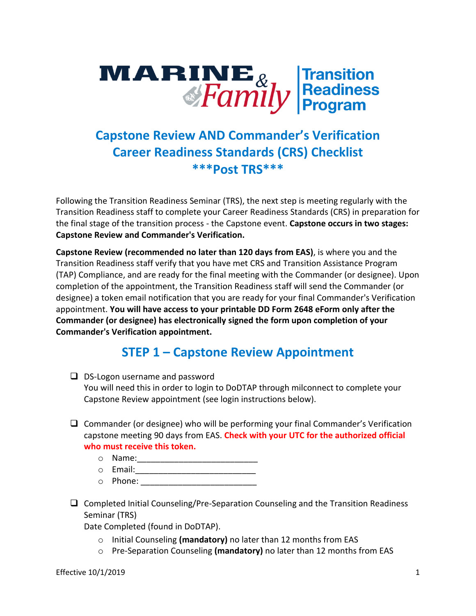# **MARINE**<sub>&</sub> Transition<br> *Family* **Readiness**

## **Capstone Review AND Commander's Verification Career Readiness Standards (CRS) Checklist \*\*\*Post TRS\*\*\***

Following the Transition Readiness Seminar (TRS), the next step is meeting regularly with the Transition Readiness staff to complete your Career Readiness Standards (CRS) in preparation for the final stage of the transition process - the Capstone event. **Capstone occurs in two stages: Capstone Review and Commander's Verification.** 

**Capstone Review (recommended no later than 120 days from EAS)**, is where you and the Transition Readiness staff verify that you have met CRS and Transition Assistance Program (TAP) Compliance, and are ready for the final meeting with the Commander (or designee). Upon completion of the appointment, the Transition Readiness staff will send the Commander (or designee) a token email notification that you are ready for your final Commander's Verification appointment. **You will have access to your printable DD Form 2648 eForm only after the Commander (or designee) has electronically signed the form upon completion of your Commander's Verification appointment.**

## **STEP 1 – Capstone Review Appointment**

- $\Box$  DS-Logon username and password You will need this in order to login to DoDTAP through milconnect to complete your Capstone Review appointment (see login instructions below).
- $\Box$  Commander (or designee) who will be performing your final Commander's Verification capstone meeting 90 days from EAS. **Check with your UTC for the authorized official who must receive this token.** 
	- $\circ$  Name:
	- $\circ$  Email:
	- $\circ$  Phone:  $\circ$  Phone:  $\circ$  Phone:  $\circ$  Phone:  $\circ$  Phone:  $\circ$  Phone:  $\circ$  Phone:  $\circ$  Phone:  $\circ$  Phone:  $\circ$  Phone:  $\circ$  Phone:  $\circ$  Phone:  $\circ$  Phone:  $\circ$  Phone:  $\circ$  Phone:  $\circ$  Phone:  $\circ$  Phone:  $\circ$  Phone:  $\circ$
- $\Box$  Completed Initial Counseling/Pre-Separation Counseling and the Transition Readiness Seminar (TRS)

Date Completed (found in DoDTAP).

- o Initial Counseling **(mandatory)** no later than 12 months from EAS
- o Pre-Separation Counseling **(mandatory)** no later than 12 months from EAS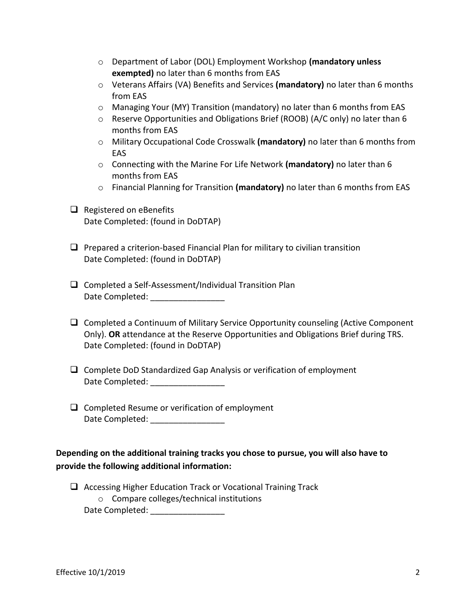| ○ Department of Labor (DOL) Employment Workshop (mandatory unless |
|-------------------------------------------------------------------|
| <b>exempted)</b> no later than 6 months from EAS                  |

- o Veterans Affairs (VA) Benefits and Services **(mandatory)** no later than 6 months from EAS
- $\circ$  Managing Your (MY) Transition (mandatory) no later than 6 months from EAS
- $\circ$  Reserve Opportunities and Obligations Brief (ROOB) (A/C only) no later than 6 months from EAS
- o Military Occupational Code Crosswalk **(mandatory)** no later than 6 months from EAS
- o Connecting with the Marine For Life Network **(mandatory)** no later than 6 months from EAS
- o Financial Planning for Transition **(mandatory)** no later than 6 months from EAS
- $\Box$  Registered on eBenefits Date Completed: (found in DoDTAP)
- $\Box$  Prepared a criterion-based Financial Plan for military to civilian transition Date Completed: (found in DoDTAP)
- $\Box$  Completed a Self-Assessment/Individual Transition Plan Date Completed: \_\_\_\_\_\_\_\_\_\_\_\_\_\_\_\_
- $\Box$  Completed a Continuum of Military Service Opportunity counseling (Active Component Only). **OR** attendance at the Reserve Opportunities and Obligations Brief during TRS. Date Completed: (found in DoDTAP)
- $\Box$  Complete DoD Standardized Gap Analysis or verification of employment Date Completed: \_\_\_\_\_\_\_\_\_\_\_\_\_\_\_\_
- $\Box$  Completed Resume or verification of employment Date Completed: \_\_\_\_\_\_\_\_\_\_\_\_\_\_\_\_

#### **Depending on the additional training tracks you chose to pursue, you will also have to provide the following additional information:**

 $\Box$  Accessing Higher Education Track or Vocational Training Track o Compare colleges/technical institutions Date Completed: \_\_\_\_\_\_\_\_\_\_\_\_\_\_\_\_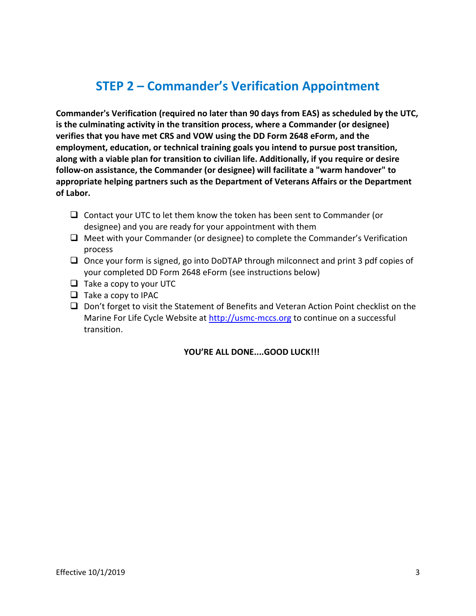## **STEP 2 – Commander's Verification Appointment**

**Commander's Verification (required no later than 90 days from EAS) as scheduled by the UTC, is the culminating activity in the transition process, where a Commander (or designee) verifies that you have met CRS and VOW using the [DD Form 2648 eForm,](https://dodtap.mil/login.html) and the employment, education, or technical training goals you intend to pursue post transition, along with a viable plan for transition to civilian life. Additionally, if you require or desire follow-on assistance, the Commander (or designee) will facilitate a "warm handover" to appropriate helping partners such as the Department of Veterans Affairs or the Department of Labor.**

- $\Box$  Contact your UTC to let them know the token has been sent to Commander (or designee) and you are ready for your appointment with them
- $\Box$  Meet with your Commander (or designee) to complete the Commander's Verification process
- $\Box$  Once your form is signed, go into DoDTAP through milconnect and print 3 pdf copies of your completed DD Form 2648 eForm (see instructions below)
- $\Box$  Take a copy to your UTC
- $\Box$  Take a copy to IPAC
- $\Box$  Don't forget to visit the Statement of Benefits and Veteran Action Point checklist on the Marine For Life Cycle Website at [http://usmc-mccs.org](http://usmc-mccs.org/) to continue on a successful transition.

**YOU'RE ALL DONE....GOOD LUCK!!!**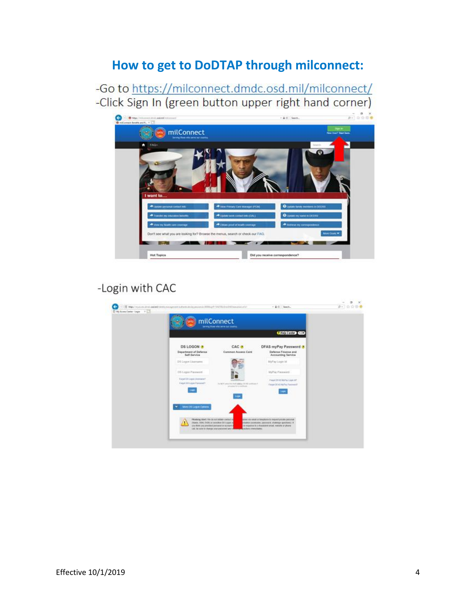## **How to get to DoDTAP through milconnect:**

-Go to https://milconnect.dmdc.osd.mil/milconnect/ -Click Sign In (green button upper right hand corner)



### -Login with CAC